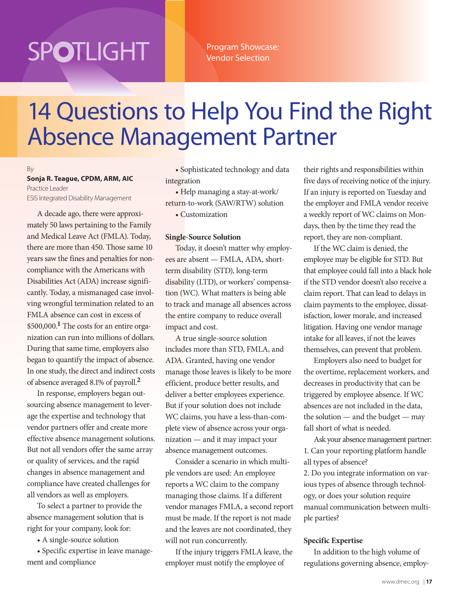# **SPOTLIGHT**

Program Showcase: Vendor Selection

# 14 Questions to Help You Find the Right Absence Management Partner

### By

**Sonja R. Teague, CPDM, ARM, AIC** Practice Leader ESIS Integrated Disability Management

A decade ago, there were approximately 50 laws pertaining to the Family and Medical Leave Act (FMLA). Today, there are more than 450. Those same 10 years saw the fines and penalties for noncompliance with the Americans with Disabilities Act (ADA) increase significantly. Today, a mismanaged case involving wrongful termination related to an FMLA absence can cost in excess of \$500,000.**1** The costs for an entire organization can run into millions of dollars. During that same time, employers also began to quantify the impact of absence. In one study, the direct and indirect costs of absence averaged 8.1% of payroll.**<sup>2</sup>**

In response, employers began outsourcing absence management to leverage the expertise and technology that vendor partners offer and create more effective absence management solutions. But not all vendors offer the same array or quality of services, and the rapid changes in absence management and compliance have created challenges for all vendors as well as employers.

To select a partner to provide the absence management solution that is right for your company, look for:

• A single-source solution

• Specific expertise in leave management and compliance

• Sophisticated technology and data integration

• Help managing a stay-at-work/ return-to-work (SAW/RTW) solution

• Customization

# **Single-Source Solution**

Today, it doesn't matter why employees are absent — FMLA, ADA, shortterm disability (STD), long-term disability (LTD), or workers' compensation (WC). What matters is being able to track and manage all absences across the entire company to reduce overall impact and cost.

A true single-source solution includes more than STD, FMLA, and ADA. Granted, having one vendor manage those leaves is likely to be more efficient, produce better results, and deliver a better employees experience. But if your solution does not include WC claims, you have a less-than-complete view of absence across your organization — and it may impact your absence management outcomes.

Consider a scenario in which multiple vendors are used: An employee reports a WC claim to the company managing those claims. If a different vendor manages FMLA, a second report must be made. If the report is not made and the leaves are not coordinated, they will not run concurrently.

If the injury triggers FMLA leave, the employer must notify the employee of

their rights and responsibilities within five days of receiving notice of the injury. If an injury is reported on Tuesday and the employer and FMLA vendor receive a weekly report of WC claims on Mondays, then by the time they read the report, they are non-compliant.

If the WC claim is denied, the employee may be eligible for STD. But that employee could fall into a black hole if the STD vendor doesn't also receive a claim report. That can lead to delays in claim payments to the employee, dissatisfaction, lower morale, and increased litigation. Having one vendor manage intake for all leaves, if not the leaves themselves, can prevent that problem.

Employers also need to budget for the overtime, replacement workers, and decreases in productivity that can be triggered by employee absence. If WC absences are not included in the data, the solution  $-$  and the budget  $-$  may fall short of what is needed.

Ask your absence management partner: 1. Can your reporting platform handle all types of absence?

2. Do you integrate information on various types of absence through technology, or does your solution require manual communication between multiple parties?

# **Specific Expertise**

In addition to the high volume of regulations governing absence, employ-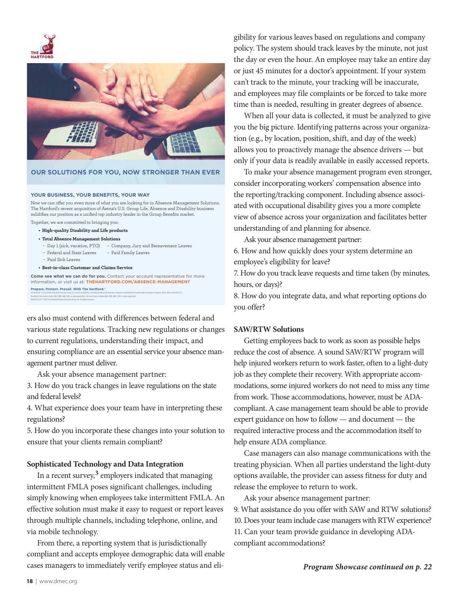



### **OUR SOLUTIONS FOR YOU, NOW STRONGER THAN EVER**

#### **YOUR BUSINESS, YOUR BENEFITS, YOUR WAY**

Now we can offer you even more of what you are looking for in Absence Management Solutions. The Hartford's recent acquisition of Aetna's U.S. Group Life, Absence and Disability business solidifies our position as a unified top industry leader in the Group Benefits market.

Together, we are committed to bringing you:

- **High-quality Disability and Life products**
- **Total Absence Management Solutions**
- Day 1 (sick, vacation, PTO) Company, Jury and Bereavement Leaves
- Federal and State Leaves Paid Family Leaves
- Paid Sick Leaves

6882 NS 11/17 © 2017 The Hartford Financial Services Group, Inc. All rights reserved.

**• Best-in-class Customer and Claims Service** 

**Prepare. Protect. Prevail. With The Hartford.® Come see what we can do for you.** Contact your account representative for more information, or visit us at: **THEHARTFORD.COM/ABSENCE-MANAGEMENT**

The Hartford® is The Hartford Financial Services Group, Inc. and its subsidiaries, including Hartford Life Insurance Company and Hartford Life and Accident Insurance Company. Home office is Hartford, CT. Disability Form Series includes GBD-1000, GBD-1200, or state equivalent. Life Form Series includes GBD-1000, GBD-1100, or state equivalent.

ers also must contend with differences between federal and various state regulations. Tracking new regulations or changes to current regulations, understanding their impact, and ensuring compliance are an essential service your absence management partner must deliver.

Ask your absence management partner:

3. How do you track changes in leave regulations on the state and federal levels?

4. What experience does your team have in interpreting these regulations?

5. How do you incorporate these changes into your solution to ensure that your clients remain compliant?

# **Sophisticated Technology and Data Integration**

In a recent survey,**3** employers indicated that managing intermittent FMLA poses significant challenges, including simply knowing when employees take intermittent FMLA. An effective solution must make it easy to request or report leaves through multiple channels, including telephone, online, and via mobile technology.

From there, a reporting system that is jurisdictionally compliant and accepts employee demographic data will enable cases managers to immediately verify employee status and eligibility for various leaves based on regulations and company policy. The system should track leaves by the minute, not just the day or even the hour. An employee may take an entire day or just 45 minutes for a doctor's appointment. If your system can't track to the minute, your tracking will be inaccurate, and employees may file complaints or be forced to take more time than is needed, resulting in greater degrees of absence.

When all your data is collected, it must be analyzed to give you the big picture. Identifying patterns across your organization (e.g., by location, position, shift, and day of the week) allows you to proactively manage the absence drivers — but only if your data is readily available in easily accessed reports.

To make your absence management program even stronger, consider incorporating workers' compensation absence into the reporting/tracking component. Including absence associated with occupational disability gives you a more complete view of absence across your organization and facilitates better understanding of and planning for absence.

Ask your absence management partner:

6. How and how quickly does your system determine an employee's eligibility for leave?

7. How do you track leave requests and time taken (by minutes, hours, or days)?

8. How do you integrate data, and what reporting options do you offer?

# **SAW/RTW Solutions**

Getting employees back to work as soon as possible helps reduce the cost of absence. A sound SAW/RTW program will help injured workers return to work faster, often to a light-duty job as they complete their recovery. With appropriate accommodations, some injured workers do not need to miss any time from work. Those accommodations, however, must be ADAcompliant. A case management team should be able to provide expert guidance on how to follow — and document — the required interactive process and the accommodation itself to help ensure ADA compliance.

Case managers can also manage communications with the treating physician. When all parties understand the light-duty options available, the provider can assess fitness for duty and release the employee to return to work.

Ask your absence management partner: 9. What assistance do you offer with SAW and RTW solutions? 10. Does your team include case managers with RTW experience? 11. Can your team provide guidance in developing ADAcompliant accommodations?

*Program Showcase continued on p. 22*